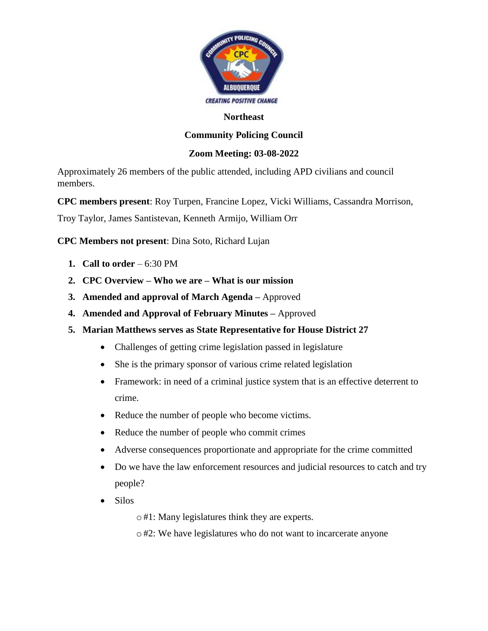

## **Northeast**

## **Community Policing Council**

## **Zoom Meeting: 03-08-2022**

Approximately 26 members of the public attended, including APD civilians and council members.

**CPC members present**: Roy Turpen, Francine Lopez, Vicki Williams, Cassandra Morrison,

Troy Taylor, James Santistevan, Kenneth Armijo, William Orr

**CPC Members not present**: Dina Soto, Richard Lujan

- **1. Call to order**  $-6:30 \text{ PM}$
- **2. CPC Overview – Who we are – What is our mission**
- **3. Amended and approval of March Agenda –** Approved
- **4. Amended and Approval of February Minutes –** Approved
- **5. Marian Matthews serves as State Representative for House District 27**
	- Challenges of getting crime legislation passed in legislature
	- She is the primary sponsor of various crime related legislation
	- Framework: in need of a criminal justice system that is an effective deterrent to crime.
	- Reduce the number of people who become victims.
	- Reduce the number of people who commit crimes
	- Adverse consequences proportionate and appropriate for the crime committed
	- Do we have the law enforcement resources and judicial resources to catch and try people?
	- Silos
		- o#1: Many legislatures think they are experts.
		- o#2: We have legislatures who do not want to incarcerate anyone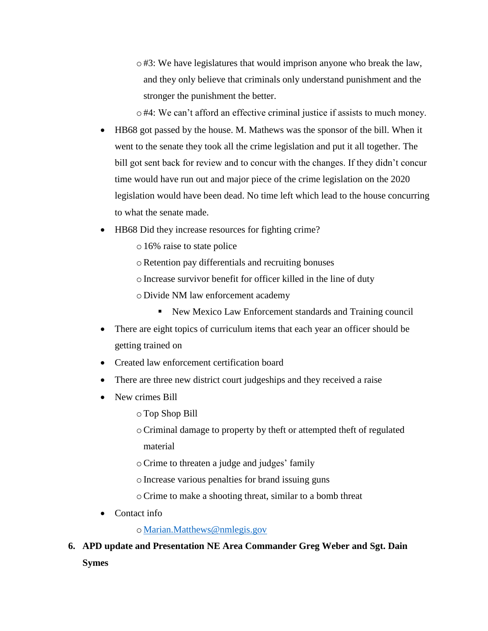$\circ$ #3: We have legislatures that would imprison anyone who break the law, and they only believe that criminals only understand punishment and the stronger the punishment the better.

o#4: We can't afford an effective criminal justice if assists to much money.

- HB68 got passed by the house. M. Mathews was the sponsor of the bill. When it went to the senate they took all the crime legislation and put it all together. The bill got sent back for review and to concur with the changes. If they didn't concur time would have run out and major piece of the crime legislation on the 2020 legislation would have been dead. No time left which lead to the house concurring to what the senate made.
- HB68 Did they increase resources for fighting crime?
	- o16% raise to state police
	- oRetention pay differentials and recruiting bonuses
	- oIncrease survivor benefit for officer killed in the line of duty
	- o Divide NM law enforcement academy
		- New Mexico Law Enforcement standards and Training council
- There are eight topics of curriculum items that each year an officer should be getting trained on
- Created law enforcement certification board
- There are three new district court judgeships and they received a raise
- New crimes Bill
	- oTop Shop Bill
	- oCriminal damage to property by theft or attempted theft of regulated material
	- oCrime to threaten a judge and judges' family
	- oIncrease various penalties for brand issuing guns
	- oCrime to make a shooting threat, similar to a bomb threat
- Contact info

o [Marian.Matthews@nmlegis.gov](mailto:Marian.Matthews@nmlegis.gov)

**6. APD update and Presentation NE Area Commander Greg Weber and Sgt. Dain Symes**